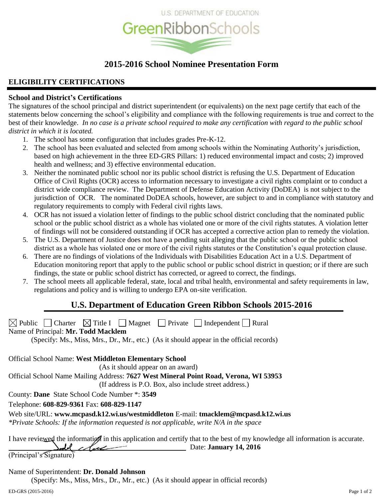

# **2015-2016 School Nominee Presentation Form**

# **ELIGIBILITY CERTIFICATIONS**

# **School and District's Certifications**

The signatures of the school principal and district superintendent (or equivalents) on the next page certify that each of the statements below concerning the school's eligibility and compliance with the following requirements is true and correct to the best of their knowledge. *In no case is a private school required to make any certification with regard to the public school district in which it is located.*

- 1. The school has some configuration that includes grades Pre-K-12.
- 2. The school has been evaluated and selected from among schools within the Nominating Authority's jurisdiction, based on high achievement in the three ED-GRS Pillars: 1) reduced environmental impact and costs; 2) improved health and wellness; and 3) effective environmental education.
- 3. Neither the nominated public school nor its public school district is refusing the U.S. Department of Education Office of Civil Rights (OCR) access to information necessary to investigate a civil rights complaint or to conduct a district wide compliance review. The Department of Defense Education Activity (DoDEA) is not subject to the jurisdiction of OCR. The nominated DoDEA schools, however, are subject to and in compliance with statutory and regulatory requirements to comply with Federal civil rights laws.
- 4. OCR has not issued a violation letter of findings to the public school district concluding that the nominated public school or the public school district as a whole has violated one or more of the civil rights statutes. A violation letter of findings will not be considered outstanding if OCR has accepted a corrective action plan to remedy the violation.
- 5. The U.S. Department of Justice does not have a pending suit alleging that the public school or the public school district as a whole has violated one or more of the civil rights statutes or the Constitution's equal protection clause.
- 6. There are no findings of violations of the Individuals with Disabilities Education Act in a U.S. Department of Education monitoring report that apply to the public school or public school district in question; or if there are such findings, the state or public school district has corrected, or agreed to correct, the findings.
- 7. The school meets all applicable federal, state, local and tribal health, environmental and safety requirements in law, regulations and policy and is willing to undergo EPA on-site verification.

# **U.S. Department of Education Green Ribbon Schools 2015-2016**

 $\boxtimes$  Public Charter  $\boxtimes$  Title I Magnet Private Independent Rural

Name of Principal: **Mr. Todd Macklem**

(Specify: Ms., Miss, Mrs., Dr., Mr., etc.) (As it should appear in the official records)

Official School Name: **West Middleton Elementary School** (As it should appear on an award)

Official School Name Mailing Address: **7627 West Mineral Point Road, Verona, WI 53953**

(If address is P.O. Box, also include street address.)

County: **Dane** State School Code Number \*: **3549**

Telephone: **608-829-9361** Fax: **608-829-1147**

Web site/URL: **www.mcpasd.k12.wi.us/westmiddleton** E-mail: **tmacklem@mcpasd.k12.wi.us**

*\*Private Schools: If the information requested is not applicable, write N/A in the space*

I have reviewed the information in this application and certify that to the best of my knowledge all information is accurate. Date: **January 14, 2016**

(Principal's Signature)

# Name of Superintendent: **Dr. Donald Johnson**

(Specify: Ms., Miss, Mrs., Dr., Mr., etc.) (As it should appear in official records)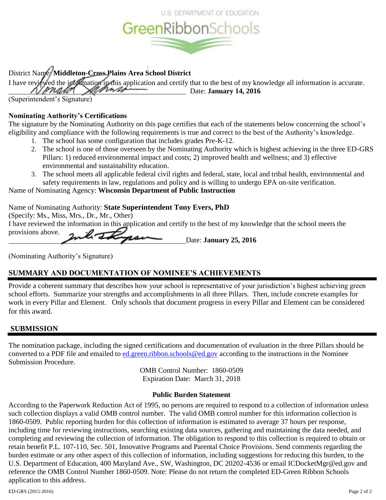

# District Name: **Middleton-Cross Plains Area School District**

I have reviewed the importation in application and certify that to the best of my knowledge all information is accurate. Date: **January 14, 2016** pna*la*1

(Superintendent's Signature)

# **Nominating Authority's Certifications**

The signature by the Nominating Authority on this page certifies that each of the statements below concerning the school's eligibility and compliance with the following requirements is true and correct to the best of the Authority's knowledge.

- 1. The school has some configuration that includes grades Pre-K-12.
- 2. The school is one of those overseen by the Nominating Authority which is highest achieving in the three ED-GRS Pillars: 1) reduced environmental impact and costs; 2) improved health and wellness; and 3) effective environmental and sustainability education.
- 3. The school meets all applicable federal civil rights and federal, state, local and tribal health, environmental and safety requirements in law, regulations and policy and is willing to undergo EPA on-site verification.

Name of Nominating Agency: **Wisconsin Department of Public Instruction**

# Name of Nominating Authority: **State Superintendent Tony Evers, PhD**

(Specify: Ms., Miss, Mrs., Dr., Mr., Other) I have reviewed the information in this application and certify to the best of my knowledge that the school meets the provisions above. Inch Itypan Date: January 25, 2016

(Nominating Authority's Signature)

# **SUMMARY AND DOCUMENTATION OF NOMINEE'S ACHIEVEMENTS**

Provide a coherent summary that describes how your school is representative of your jurisdiction's highest achieving green school efforts. Summarize your strengths and accomplishments in all three Pillars. Then, include concrete examples for work in every Pillar and Element. Only schools that document progress in every Pillar and Element can be considered for this award.

# **SUBMISSION**

The nomination package, including the signed certifications and documentation of evaluation in the three Pillars should be converted to a PDF file and emailed to [ed.green.ribbon.schools@ed.gov](mailto:ed.green.ribbon.schools@ed.gov) according to the instructions in the Nominee Submission Procedure.

OMB Control Number: 1860-0509 Expiration Date: March 31, 2018

# **Public Burden Statement**

According to the Paperwork Reduction Act of 1995, no persons are required to respond to a collection of information unless such collection displays a valid OMB control number. The valid OMB control number for this information collection is 1860-0509. Public reporting burden for this collection of information is estimated to average 37 hours per response, including time for reviewing instructions, searching existing data sources, gathering and maintaining the data needed, and completing and reviewing the collection of information. The obligation to respond to this collection is required to obtain or retain benefit P.L. 107-110, Sec. 501, Innovative Programs and Parental Choice Provisions. Send comments regarding the burden estimate or any other aspect of this collection of information, including suggestions for reducing this burden, to the U.S. Department of Education, 400 Maryland Ave., SW, Washington, DC 20202-4536 or email ICDocketMgr@ed.gov and reference the OMB Control Number 1860-0509. Note: Please do not return the completed ED-Green Ribbon Schools application to this address.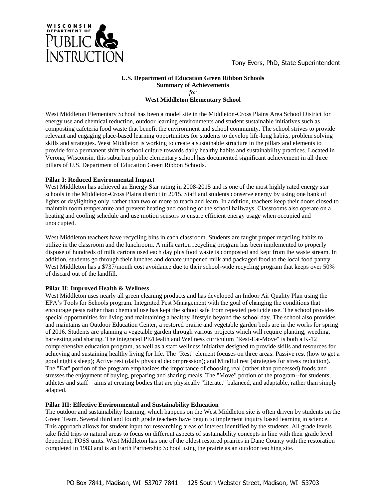

# **U.S. Department of Education Green Ribbon Schools Summary of Achievements** *for*

**West Middleton Elementary School**

West Middleton Elementary School has been a model site in the Middleton-Cross Plains Area School District for energy use and chemical reduction, outdoor learning environments and student sustainable initiatives such as composting cafeteria food waste that benefit the environment and school community. The school strives to provide relevant and engaging place-based learning opportunities for students to develop life-long habits, problem solving skills and strategies. West Middleton is working to create a sustainable structure in the pillars and elements to provide for a permanent shift in school culture towards daily healthy habits and sustainability practices. Located in Verona, Wisconsin, this suburban public elementary school has documented significant achievement in all three pillars of U.S. Department of Education Green Ribbon Schools.

### **Pillar I: Reduced Environmental Impact**

West Middleton has achieved an Energy Star rating in 2008-2015 and is one of the most highly rated energy star schools in the Middleton-Cross Plains district in 2015. Staff and students conserve energy by using one bank of lights or daylighting only, rather than two or more to teach and learn. In addition, teachers keep their doors closed to maintain room temperature and prevent heating and cooling of the school hallways. Classrooms also operate on a heating and cooling schedule and use motion sensors to ensure efficient energy usage when occupied and unoccupied.

West Middleton teachers have recycling bins in each classroom. Students are taught proper recycling habits to utilize in the classroom and the lunchroom. A milk carton recycling program has been implemented to properly dispose of hundreds of milk cartons used each day plus food waste is composted and kept from the waste stream. In addition, students go through their lunches and donate unopened milk and packaged food to the local food pantry. West Middleton has a \$737/month cost avoidance due to their school-wide recycling program that keeps over 50% of discard out of the landfill.

# **Pillar II: Improved Health & Wellness**

West Middleton uses nearly all green cleaning products and has developed an Indoor Air Quality Plan using the EPA's Tools for Schools program. Integrated Pest Management with the goal of changing the conditions that encourage pests rather than chemical use has kept the school safe from repeated pesticide use. The school provides special opportunities for living and maintaining a healthy lifestyle beyond the school day. The school also provides and maintains an Outdoor Education Center, a restored prairie and vegetable garden beds are in the works for spring of 2016. Students are planning a vegetable garden through various projects which will require planting, weeding, harvesting and sharing. The integrated PE/Health and Wellness curriculum "Rest-Eat-Move" is both a K-12 comprehensive education program, as well as a staff wellness initiative designed to provide skills and resources for achieving and sustaining healthy living for life. The "Rest" element focuses on three areas: Passive rest (how to get a good night's sleep); Active rest (daily physical decompression); and Mindful rest (strategies for stress reduction). The "Eat" portion of the program emphasizes the importance of choosing real (rather than processed) foods and stresses the enjoyment of buying, preparing and sharing meals. The "Move" portion of the program--for students, athletes and staff—aims at creating bodies that are physically "literate," balanced, and adaptable, rather than simply adapted.

# **Pillar III: Effective Environmental and Sustainability Education**

The outdoor and sustainability learning, which happens on the West Middleton site is often driven by students on the Green Team. Several third and fourth grade teachers have begun to implement inquiry based learning in science. This approach allows for student input for researching areas of interest identified by the students. All grade levels take field trips to natural areas to focus on different aspects of sustainability concepts in line with their grade level dependent, FOSS units. West Middleton has one of the oldest restored prairies in Dane County with the restoration completed in 1983 and is an Earth Partnership School using the prairie as an outdoor teaching site.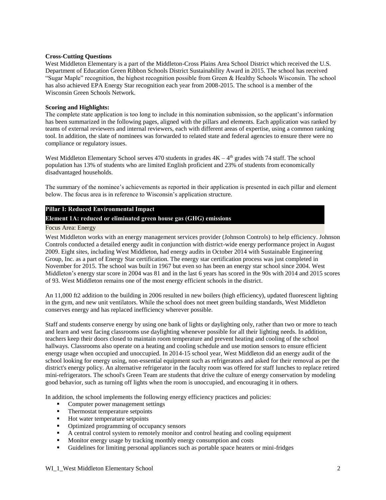### **Cross-Cutting Questions**

West Middleton Elementary is a part of the Middleton-Cross Plains Area School District which received the U.S. Department of Education Green Ribbon Schools District Sustainability Award in 2015. The school has received "Sugar Maple" recognition, the highest recognition possible from Green & Healthy Schools Wisconsin. The school has also achieved EPA Energy Star recognition each year from 2008-2015. The school is a member of the Wisconsin Green Schools Network.

## **Scoring and Highlights:**

The complete state application is too long to include in this nomination submission, so the applicant's information has been summarized in the following pages, aligned with the pillars and elements. Each application was ranked by teams of external reviewers and internal reviewers, each with different areas of expertise, using a common ranking tool. In addition, the slate of nominees was forwarded to related state and federal agencies to ensure there were no compliance or regulatory issues.

West Middleton Elementary School serves 470 students in grades  $4K - 4<sup>th</sup>$  grades with 74 staff. The school population has 13% of students who are limited English proficient and 23% of students from economically disadvantaged households.

The summary of the nominee's achievements as reported in their application is presented in each pillar and element below. The focus area is in reference to Wisconsin's application structure.

# **Pillar I: Reduced Environmental Impact**

# **Element 1A: reduced or eliminated green house gas (GHG) emissions**

#### Focus Area: Energy

West Middleton works with an energy management services provider (Johnson Controls) to help efficiency. Johnson Controls conducted a detailed energy audit in conjunction with district-wide energy performance project in August 2009. Eight sites, including West Middleton, had energy audits in October 2014 with Sustainable Engineering Group, Inc. as a part of Energy Star certification. The energy star certification process was just completed in November for 2015. The school was built in 1967 but even so has been an energy star school since 2004. West Middleton's energy star score in 2004 was 81 and in the last 6 years has scored in the 90s with 2014 and 2015 scores of 93. West Middleton remains one of the most energy efficient schools in the district.

An 11,000 ft2 addition to the building in 2006 resulted in new boilers (high efficiency), updated fluorescent lighting in the gym, and new unit ventilators. While the school does not meet green building standards, West Middleton conserves energy and has replaced inefficiency wherever possible.

Staff and students conserve energy by using one bank of lights or daylighting only, rather than two or more to teach and learn and west facing classrooms use daylighting whenever possible for all their lighting needs. In addition, teachers keep their doors closed to maintain room temperature and prevent heating and cooling of the school hallways. Classrooms also operate on a heating and cooling schedule and use motion sensors to ensure efficient energy usage when occupied and unoccupied. In 2014-15 school year, West Middleton did an energy audit of the school looking for energy using, non-essential equipment such as refrigerators and asked for their removal as per the district's energy policy. An alternative refrigerator in the faculty room was offered for staff lunches to replace retired mini-refrigerators. The school's Green Team are students that drive the culture of energy conservation by modeling good behavior, such as turning off lights when the room is unoccupied, and encouraging it in others.

In addition, the school implements the following energy efficiency practices and policies:

- Computer power management settings
- Thermostat temperature setpoints
- Hot water temperature setpoints
- Optimized programming of occupancy sensors
- A central control system to remotely monitor and control heating and cooling equipment
- Monitor energy usage by tracking monthly energy consumption and costs<br>
Fundelines for limiting personal appliances such as portable space heaters
- Guidelines for limiting personal appliances such as portable space heaters or mini-fridges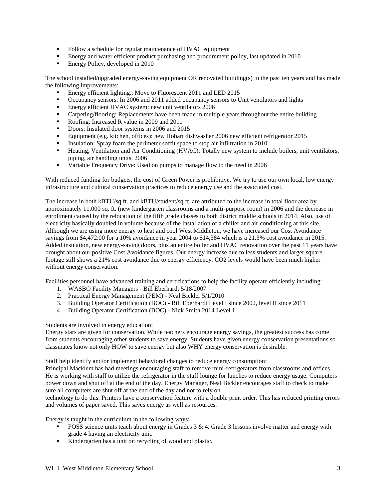- Follow a schedule for regular maintenance of HVAC equipment
- Energy and water efficient product purchasing and procurement policy, last updated in 2010
- **Energy Policy, developed in 2010**

The school installed/upgraded energy-saving equipment OR renovated building(s) in the past ten years and has made the following improvements:

- Energy efficient lighting.: Move to Fluorescent 2011 and LED 2015
- Occupancy sensors: In 2006 and 2011 added occupancy sensors to Unit ventilators and lights
- **Energy efficient HVAC system: new unit ventilators 2006**
- Carpeting/flooring: Replacements have been made in multiple years throughout the entire building
- Roofing: Increased R value in 2009 and 2011
- Doors: Insulated door systems in 2006 and 2015
- Equipment (e.g. kitchen, offices): new Hobart dishwasher 2006 new efficient refrigerator 2015
- Insulation: Spray foam the perimeter soffit space to stop air infiltration in 2010
- **Heating, Ventilation and Air Conditioning (HVAC): Totally new system to include boilers, unit ventilators,** piping, air handling units. 2006
- Variable Frequency Drive: Used on pumps to manage flow to the need in 2006

With reduced funding for budgets, the cost of Green Power is prohibitive. We try to use our own local, low energy infrastructure and cultural conservation practices to reduce energy use and the associated cost.

The increase in both kBTU/sq.ft. and kBTU/student/sq.ft. are attributed to the increase in total floor area by approximately 11,000 sq. ft. (new kindergarten classrooms and a multi-purpose room) in 2006 and the decrease in enrollment caused by the relocation of the fifth grade classes to both district middle schools in 2014. Also, use of electricity basically doubled in volume because of the installation of a chiller and air conditioning at this site. Although we are using more energy to heat and cool West Middleton, we have increased our Cost Avoidance savings from \$4,472.00 for a 10% avoidance in year 2004 to \$14,384 which is a 21.3% cost avoidance in 2015. Added insulation, new energy-saving doors, plus an entire boiler and HVAC renovation over the past 11 years have brought about our positive Cost Avoidance figures. Our energy increase due to less students and larger square footage still shows a 21% cost avoidance due to energy efficiency. CO2 levels would have been much higher without energy conservation.

Facilities personnel have advanced training and certifications to help the facility operate efficiently including:

- 1. WASBO Facility Managers Bill Eberhardt 5/18/2007
- 2. Practical Energy Management (PEM) Neal Bickler 5/1/2010
- 3. Building Operator Certification (BOC) Bill Eberhardt Level I since 2002, level II since 2011
- 4. Building Operator Certification (BOC) Nick Smith 2014 Level 1

Students are involved in energy education:

Energy stars are given for conservation. While teachers encourage energy savings, the greatest success has come from students encouraging other students to save energy. Students have given energy conservation presentations so classmates know not only HOW to save energy but also WHY energy conservation is desirable.

Staff help identify and/or implement behavioral changes to reduce energy consumption:

Principal Macklem has had meetings encouraging staff to remove mini-refrigerators from classrooms and offices. He is working with staff to utilize the refrigerator in the staff lounge for lunches to reduce energy usage. Computers power down and shut off at the end of the day. Energy Manager, Neal Bickler encourages staff to check to make sure all computers are shut off at the end of the day and not to rely on

technology to do this. Printers have a conservation feature with a double print order. This has reduced printing errors and volumes of paper saved. This saves energy as well as resources.

Energy is taught in the curriculum in the following ways:

- FOSS science units teach about energy in Grades  $3 \& 4$ . Grade  $3$  lessons involve matter and energy with grade 4 having an electricity unit.
- Kindergarten has a unit on recycling of wood and plastic.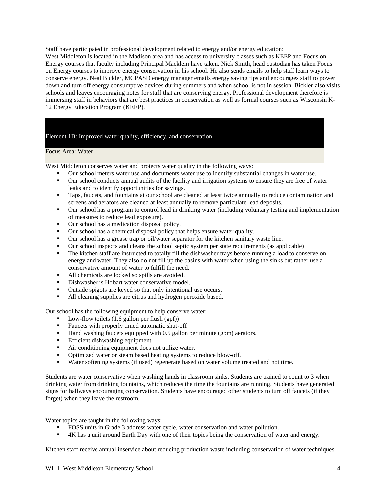Staff have participated in professional development related to energy and/or energy education: West Middleton is located in the Madison area and has access to university classes such as KEEP and Focus on Energy courses that faculty including Principal Macklem have taken. Nick Smith, head custodian has taken Focus on Energy courses to improve energy conservation in his school. He also sends emails to help staff learn ways to conserve energy. Neal Bickler, MCPASD energy manager emails energy saving tips and encourages staff to power down and turn off energy consumptive devices during summers and when school is not in session. Bickler also visits schools and leaves encouraging notes for staff that are conserving energy. Professional development therefore is immersing staff in behaviors that are best practices in conservation as well as formal courses such as Wisconsin K-12 Energy Education Program (KEEP).

### Element 1B: Improved water quality, efficiency, and conservation

#### Focus Area: Water

West Middleton conserves water and protects water quality in the following ways:

- Our school meters water use and documents water use to identify substantial changes in water use.
- Our school conducts annual audits of the facility and irrigation systems to ensure they are free of water leaks and to identify opportunities for savings.
- **Taps, faucets, and fountains at our school are cleaned at least twice annually to reduce contamination and** screens and aerators are cleaned at least annually to remove particulate lead deposits.
- Our school has a program to control lead in drinking water (including voluntary testing and implementation of measures to reduce lead exposure).
- Our school has a medication disposal policy.
- Our school has a chemical disposal policy that helps ensure water quality.
- Our school has a grease trap or oil/water separator for the kitchen sanitary waste line.
- Our school inspects and cleans the school septic system per state requirements (as applicable)
- The kitchen staff are instructed to totally fill the dishwasher trays before running a load to conserve on energy and water. They also do not fill up the basins with water when using the sinks but rather use a conservative amount of water to fulfill the need.
- All chemicals are locked so spills are avoided.
- Dishwasher is Hobart water conservative model.
- Outside spigots are keyed so that only intentional use occurs.
- All cleaning supplies are citrus and hydrogen peroxide based.

Our school has the following equipment to help conserve water:

- Low-flow toilets (1.6 gallon per flush (gpf))
- **Faucets with properly timed automatic shut-off**
- Hand washing faucets equipped with 0.5 gallon per minute (gpm) aerators.
- **Efficient dishwashing equipment.**
- Air conditioning equipment does not utilize water.
- Optimized water or steam based heating systems to reduce blow-off.
- Water softening systems (if used) regenerate based on water volume treated and not time.

Students are water conservative when washing hands in classroom sinks. Students are trained to count to 3 when drinking water from drinking fountains, which reduces the time the fountains are running. Students have generated signs for hallways encouraging conservation. Students have encouraged other students to turn off faucets (if they forget) when they leave the restroom.

Water topics are taught in the following ways:

- FOSS units in Grade 3 address water cycle, water conservation and water pollution.
- 4K has a unit around Earth Day with one of their topics being the conservation of water and energy.

Kitchen staff receive annual inservice about reducing production waste including conservation of water techniques.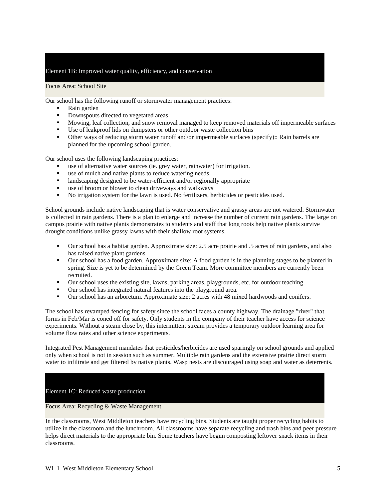# Element 1B: Improved water quality, efficiency, and conservation

Focus Area: School Site

Our school has the following runoff or stormwater management practices:

- Rain garden
- Downspouts directed to vegetated areas
- **Mowing, leaf collection, and snow removal managed to keep removed materials off impermeable surfaces**
- Use of leakproof lids on dumpsters or other outdoor waste collection bins
- Other ways of reducing storm water runoff and/or impermeable surfaces (specify):: Rain barrels are planned for the upcoming school garden.

Our school uses the following landscaping practices:

- use of alternative water sources (ie. grey water, rainwater) for irrigation.
- use of mulch and native plants to reduce watering needs
- Ilandscaping designed to be water-efficient and/or regionally appropriate
- use of broom or blower to clean driveways and walkways
- No irrigation system for the lawn is used. No fertilizers, herbicides or pesticides used.

School grounds include native landscaping that is water conservative and grassy areas are not watered. Stormwater is collected in rain gardens. There is a plan to enlarge and increase the number of current rain gardens. The large on campus prairie with native plants demonstrates to students and staff that long roots help native plants survive drought conditions unlike grassy lawns with their shallow root systems.

- Our school has a habitat garden. Approximate size: 2.5 acre prairie and .5 acres of rain gardens, and also has raised native plant gardens
- Our school has a food garden. Approximate size: A food garden is in the planning stages to be planted in spring. Size is yet to be determined by the Green Team. More committee members are currently been recruited.
- Our school uses the existing site, lawns, parking areas, playgrounds, etc. for outdoor teaching.
- Our school has integrated natural features into the playground area.
- Our school has an arboretum. Approximate size: 2 acres with 48 mixed hardwoods and conifers.

The school has revamped fencing for safety since the school faces a county highway. The drainage "river" that forms in Feb/Mar is coned off for safety. Only students in the company of their teacher have access for science experiments. Without a steam close by, this intermittent stream provides a temporary outdoor learning area for volume flow rates and other science experiments.

Integrated Pest Management mandates that pesticides/herbicides are used sparingly on school grounds and applied only when school is not in session such as summer. Multiple rain gardens and the extensive prairie direct storm water to infiltrate and get filtered by native plants. Wasp nests are discouraged using soap and water as deterrents.

#### Element 1C: Reduced waste production

Focus Area: Recycling & Waste Management

In the classrooms, West Middleton teachers have recycling bins. Students are taught proper recycling habits to utilize in the classroom and the lunchroom. All classrooms have separate recycling and trash bins and peer pressure helps direct materials to the appropriate bin. Some teachers have begun composting leftover snack items in their classrooms.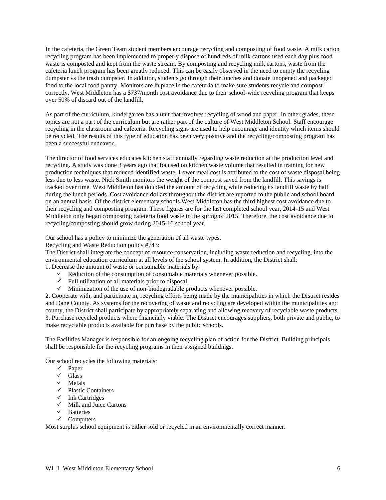In the cafeteria, the Green Team student members encourage recycling and composting of food waste. A milk carton recycling program has been implemented to properly dispose of hundreds of milk cartons used each day plus food waste is composted and kept from the waste stream. By composting and recycling milk cartons, waste from the cafeteria lunch program has been greatly reduced. This can be easily observed in the need to empty the recycling dumpster vs the trash dumpster. In addition, students go through their lunches and donate unopened and packaged food to the local food pantry. Monitors are in place in the cafeteria to make sure students recycle and compost correctly. West Middleton has a \$737/month cost avoidance due to their school-wide recycling program that keeps over 50% of discard out of the landfill.

As part of the curriculum, kindergarten has a unit that involves recycling of wood and paper. In other grades, these topics are not a part of the curriculum but are rather part of the culture of West Middleton School. Staff encourage recycling in the classroom and cafeteria. Recycling signs are used to help encourage and identity which items should be recycled. The results of this type of education has been very positive and the recycling/composting program has been a successful endeavor.

The director of food services educates kitchen staff annually regarding waste reduction at the production level and recycling. A study was done 3 years ago that focused on kitchen waste volume that resulted in training for new production techniques that reduced identified waste. Lower meal cost is attributed to the cost of waste disposal being less due to less waste. Nick Smith monitors the weight of the compost saved from the landfill. This savings is tracked over time. West Middleton has doubled the amount of recycling while reducing its landfill waste by half during the lunch periods. Cost avoidance dollars throughout the district are reported to the public and school board on an annual basis. Of the district elementary schools West Middleton has the third highest cost avoidance due to their recycling and composting program. These figures are for the last completed school year, 2014-15 and West Middleton only began composting cafeteria food waste in the spring of 2015. Therefore, the cost avoidance due to recycling/composting should grow during 2015-16 school year.

Our school has a policy to minimize the generation of all waste types.

Recycling and Waste Reduction policy #743:

The District shall integrate the concept of resource conservation, including waste reduction and recycling, into the environmental education curriculum at all levels of the school system. In addition, the District shall:

- 1. Decrease the amount of waste or consumable materials by:
	- $\checkmark$  Reduction of the consumption of consumable materials whenever possible.
	- $\checkmark$  Full utilization of all materials prior to disposal.
	- $\checkmark$  Minimization of the use of non-biodegradable products whenever possible.

2. Cooperate with, and participate in, recycling efforts being made by the municipalities in which the District resides and Dane County. As systems for the recovering of waste and recycling are developed within the municipalities and county, the District shall participate by appropriately separating and allowing recovery of recyclable waste products. 3. Purchase recycled products where financially viable. The District encourages suppliers, both private and public, to make recyclable products available for purchase by the public schools.

The Facilities Manager is responsible for an ongoing recycling plan of action for the District. Building principals shall be responsible for the recycling programs in their assigned buildings.

Our school recycles the following materials:

- $\checkmark$  Paper
- $\checkmark$  Glass
- $\checkmark$  Metals
- $\checkmark$  Plastic Containers
- $\checkmark$  Ink Cartridges
- $\checkmark$  Milk and Juice Cartons
- $\checkmark$  Batteries
- $\checkmark$  Computers

Most surplus school equipment is either sold or recycled in an environmentally correct manner.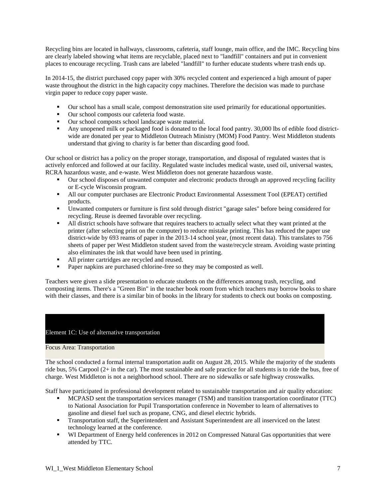Recycling bins are located in hallways, classrooms, cafeteria, staff lounge, main office, and the IMC. Recycling bins are clearly labeled showing what items are recyclable, placed next to "landfill" containers and put in convenient places to encourage recycling. Trash cans are labeled "landfill" to further educate students where trash ends up.

In 2014-15, the district purchased copy paper with 30% recycled content and experienced a high amount of paper waste throughout the district in the high capacity copy machines. Therefore the decision was made to purchase virgin paper to reduce copy paper waste.

- Our school has a small scale, compost demonstration site used primarily for educational opportunities.
- Our school composts our cafeteria food waste.
- Our school composts school landscape waste material.
- Any unopened milk or packaged food is donated to the local food pantry. 30,000 lbs of edible food districtwide are donated per year to Middleton Outreach Ministry (MOM) Food Pantry. West Middleton students understand that giving to charity is far better than discarding good food.

Our school or district has a policy on the proper storage, transportation, and disposal of regulated wastes that is actively enforced and followed at our facility. Regulated waste includes medical waste, used oil, universal wastes, RCRA hazardous waste, and e-waste. West Middleton does not generate hazardous waste.

- Our school disposes of unwanted computer and electronic products through an approved recycling facility or E-cycle Wisconsin program.
- All our computer purchases are Electronic Product Environmental Assessment Tool (EPEAT) certified products.
- Unwanted computers or furniture is first sold through district "garage sales" before being considered for recycling. Reuse is deemed favorable over recycling.
- All district schools have software that requires teachers to actually select what they want printed at the printer (after selecting print on the computer) to reduce mistake printing. This has reduced the paper use district-wide by 693 reams of paper in the 2013-14 school year, (most recent data). This translates to 756 sheets of paper per West Middleton student saved from the waste/recycle stream. Avoiding waste printing also eliminates the ink that would have been used in printing.
- All printer cartridges are recycled and reused.
- Paper napkins are purchased chlorine-free so they may be composted as well.

Teachers were given a slide presentation to educate students on the differences among trash, recycling, and composting items. There's a "Green Bin" in the teacher book room from which teachers may borrow books to share with their classes, and there is a similar bin of books in the library for students to check out books on composting.

# Element 1C: Use of alternative transportation

### Focus Area: Transportation

The school conducted a formal internal transportation audit on August 28, 2015. While the majority of the students ride bus, 5% Carpool (2+ in the car). The most sustainable and safe practice for all students is to ride the bus, free of charge. West Middleton is not a neighborhood school. There are no sidewalks or safe highway crosswalks.

Staff have participated in professional development related to sustainable transportation and air quality education:

- MCPASD sent the transportation services manager (TSM) and transition transportation coordinator (TTC) to National Association for Pupil Transportation conference in November to learn of alternatives to gasoline and diesel fuel such as propane, CNG, and diesel electric hybrids.
- Transportation staff, the Superintendent and Assistant Superintendent are all inserviced on the latest technology learned at the conference.
- **WI Department of Energy held conferences in 2012 on Compressed Natural Gas opportunities that were** attended by TTC.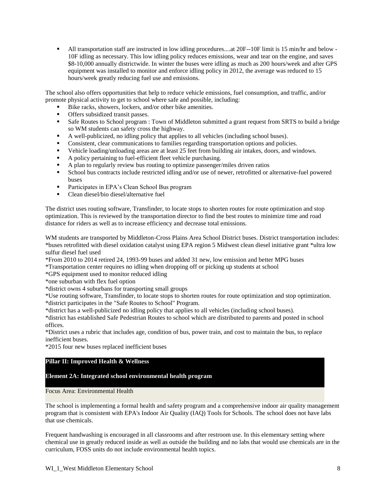All transportation staff are instructed in low idling procedures....at 20F--10F limit is 15 min/hr and below - 10F idling as necessary. This low idling policy reduces emissions, wear and tear on the engine, and saves \$8-10,000 annually districtwide. In winter the buses were idling as much as 200 hours/week and after GPS equipment was installed to monitor and enforce idling policy in 2012, the average was reduced to 15 hours/week greatly reducing fuel use and emissions.

The school also offers opportunities that help to reduce vehicle emissions, fuel consumption, and traffic, and/or promote physical activity to get to school where safe and possible, including:

- Bike racks, showers, lockers, and/or other bike amenities.
- Offers subsidized transit passes.
- Safe Routes to School program : Town of Middleton submitted a grant request from SRTS to build a bridge so WM students can safety cross the highway.
- A well-publicized, no idling policy that applies to all vehicles (including school buses).
- Consistent, clear communications to families regarding transportation options and policies.
- Vehicle loading/unloading areas are at least 25 feet from building air intakes, doors, and windows.
- A policy pertaining to fuel-efficient fleet vehicle purchasing.
- A plan to regularly review bus routing to optimize passenger/miles driven ratios
- School bus contracts include restricted idling and/or use of newer, retrofitted or alternative-fuel powered buses
- Participates in EPA's Clean School Bus program<br>• Clean diesel/bio diesel/alternative fuel
- Clean diesel/bio diesel/alternative fuel

The district uses routing software, Transfinder, to locate stops to shorten routes for route optimization and stop optimization. This is reviewed by the transportation director to find the best routes to minimize time and road distance for riders as well as to increase efficiency and decrease total emissions.

WM students are transported by Middleton-Cross Plains Area School District buses. District transportation includes: \*buses retrofitted with diesel oxidation catalyst using EPA region 5 Midwest clean diesel initiative grant \*ultra low sulfur diesel fuel used

\*From 2010 to 2014 retired 24, 1993-99 buses and added 31 new, low emission and better MPG buses

\*Transportation center requires no idling when dropping off or picking up students at school

\*GPS equipment used to monitor reduced idling

\*one suburban with flex fuel option

\*district owns 4 suburbans for transporting small groups

\*Use routing software, Transfinder, to locate stops to shorten routes for route optimization and stop optimization. \*district participates in the "Safe Routes to School" Program.

\*district has a well-publicized no idling policy that applies to all vehicles (including school buses).

\*district has established Safe Pedestrian Routes to school which are distributed to parents and posted in school offices.

\*District uses a rubric that includes age, condition of bus, power train, and cost to maintain the bus, to replace inefficient buses.

\*2015 four new buses replaced inefficient buses

### **Pillar II: Improved Health & Wellness**

#### **Element 2A: Integrated school environmental health program**

Focus Area: Environmental Health

The school is implementing a formal health and safety program and a comprehensive indoor air quality management program that is consistent with EPA's Indoor Air Quality (IAQ) Tools for Schools. The school does not have labs that use chemicals.

Frequent handwashing is encouraged in all classrooms and after restroom use. In this elementary setting where chemical use in greatly reduced inside as well as outside the building and no labs that would use chemicals are in the curriculum, FOSS units do not include environmental health topics.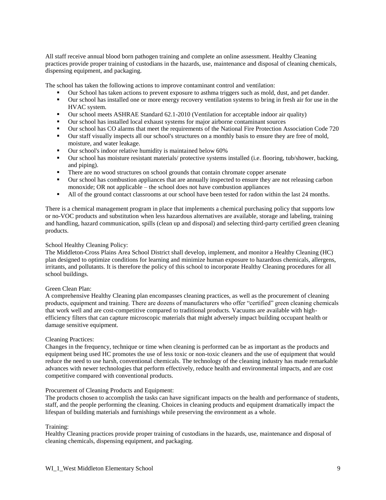All staff receive annual blood born pathogen training and complete an online assessment. Healthy Cleaning practices provide proper training of custodians in the hazards, use, maintenance and disposal of cleaning chemicals, dispensing equipment, and packaging.

The school has taken the following actions to improve contaminant control and ventilation:

- Our School has taken actions to prevent exposure to asthma triggers such as mold, dust, and pet dander.
- Our school has installed one or more energy recovery ventilation systems to bring in fresh air for use in the HVAC system.
- Our school meets ASHRAE Standard 62.1-2010 (Ventilation for acceptable indoor air quality)
- Our school has installed local exhaust systems for major airborne contaminant sources
- Our school has CO alarms that meet the requirements of the National Fire Protection Association Code 720
- Our staff visually inspects all our school's structures on a monthly basis to ensure they are free of mold, moisture, and water leakage.
- **•** Our school's indoor relative humidity is maintained below 60%
- Our school has moisture resistant materials/ protective systems installed (i.e. flooring, tub/shower, backing, and piping).
- **There are no wood structures on school grounds that contain chromate copper arsenate**
- Our school has combustion appliances that are annually inspected to ensure they are not releasing carbon monoxide; OR not applicable – the school does not have combustion appliances
- If All of the ground contact classrooms at our school have been tested for radon within the last 24 months.

There is a chemical management program in place that implements a chemical purchasing policy that supports low or no-VOC products and substitution when less hazardous alternatives are available, storage and labeling, training and handling, hazard communication, spills (clean up and disposal) and selecting third-party certified green cleaning products.

# School Healthy Cleaning Policy:

The Middleton-Cross Plains Area School District shall develop, implement, and monitor a Healthy Cleaning (HC) plan designed to optimize conditions for learning and minimize human exposure to hazardous chemicals, allergens, irritants, and pollutants. It is therefore the policy of this school to incorporate Healthy Cleaning procedures for all school buildings.

#### Green Clean Plan:

A comprehensive Healthy Cleaning plan encompasses cleaning practices, as well as the procurement of cleaning products, equipment and training. There are dozens of manufacturers who offer "certified" green cleaning chemicals that work well and are cost-competitive compared to traditional products. Vacuums are available with highefficiency filters that can capture microscopic materials that might adversely impact building occupant health or damage sensitive equipment.

#### Cleaning Practices:

Changes in the frequency, technique or time when cleaning is performed can be as important as the products and equipment being used HC promotes the use of less toxic or non-toxic cleaners and the use of equipment that would reduce the need to use harsh, conventional chemicals. The technology of the cleaning industry has made remarkable advances with newer technologies that perform effectively, reduce health and environmental impacts, and are cost competitive compared with conventional products.

#### Procurement of Cleaning Products and Equipment:

The products chosen to accomplish the tasks can have significant impacts on the health and performance of students, staff, and the people performing the cleaning. Choices in cleaning products and equipment dramatically impact the lifespan of building materials and furnishings while preserving the environment as a whole.

# Training:

Healthy Cleaning practices provide proper training of custodians in the hazards, use, maintenance and disposal of cleaning chemicals, dispensing equipment, and packaging.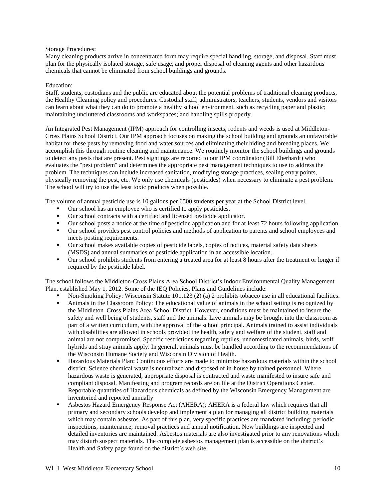### Storage Procedures:

Many cleaning products arrive in concentrated form may require special handling, storage, and disposal. Staff must plan for the physically isolated storage, safe usage, and proper disposal of cleaning agents and other hazardous chemicals that cannot be eliminated from school buildings and grounds.

#### Education:

Staff, students, custodians and the public are educated about the potential problems of traditional cleaning products, the Healthy Cleaning policy and procedures. Custodial staff, administrators, teachers, students, vendors and visitors can learn about what they can do to promote a healthy school environment, such as recycling paper and plastic; maintaining uncluttered classrooms and workspaces; and handling spills properly.

An Integrated Pest Management (IPM) approach for controlling insects, rodents and weeds is used at Middleton-Cross Plains School District. Our IPM approach focuses on making the school building and grounds an unfavorable habitat for these pests by removing food and water sources and eliminating their hiding and breeding places. We accomplish this through routine cleaning and maintenance. We routinely monitor the school buildings and grounds to detect any pests that are present. Pest sightings are reported to our IPM coordinator (Bill Eberhardt) who evaluates the "pest problem" and determines the appropriate pest management techniques to use to address the problem. The techniques can include increased sanitation, modifying storage practices, sealing entry points, physically removing the pest, etc. We only use chemicals (pesticides) when necessary to eliminate a pest problem. The school will try to use the least toxic products when possible.

The volume of annual pesticide use is 10 gallons per 6500 students per year at the School District level.

- Our school has an employee who is certified to apply pesticides.
- Our school contracts with a certified and licensed pesticide applicator.
- Our school posts a notice at the time of pesticide application and for at least 72 hours following application.
- Our school provides pest control policies and methods of application to parents and school employees and meets posting requirements.
- Our school makes available copies of pesticide labels, copies of notices, material safety data sheets (MSDS) and annual summaries of pesticide application in an accessible location.
- Our school prohibits students from entering a treated area for at least 8 hours after the treatment or longer if required by the pesticide label.

The school follows the Middleton-Cross Plains Area School District's Indoor Environmental Quality Management Plan, established May 1, 2012. Some of the IEQ Policies, Plans and Guidelines include:

- Non-Smoking Policy: Wisconsin Statute 101.123 (2) (a) 2 prohibits tobacco use in all educational facilities.
- Animals in the Classroom Policy: The educational value of animals in the school setting is recognized by the Middleton–Cross Plains Area School District. However, conditions must be maintained to insure the safety and well being of students, staff and the animals. Live animals may be brought into the classroom as part of a written curriculum, with the approval of the school principal. Animals trained to assist individuals with disabilities are allowed in schools provided the health, safety and welfare of the student, staff and animal are not compromised. Specific restrictions regarding reptiles, undomesticated animals, birds, wolf hybrids and stray animals apply. In general, animals must be handled according to the recommendations of the Wisconsin Humane Society and Wisconsin Division of Health.
- Hazardous Materials Plan: Continuous efforts are made to minimize hazardous materials within the school district. Science chemical waste is neutralized and disposed of in-house by trained personnel. Where hazardous waste is generated, appropriate disposal is contracted and waste manifested to insure safe and compliant disposal. Manifesting and program records are on file at the District Operations Center. Reportable quantities of Hazardous chemicals as defined by the Wisconsin Emergency Management are inventoried and reported annually
- Asbestos Hazard Emergency Response Act (AHERA): AHERA is a federal law which requires that all primary and secondary schools develop and implement a plan for managing all district building materials which may contain asbestos. As part of this plan, very specific practices are mandated including: periodic inspections, maintenance, removal practices and annual notification. New buildings are inspected and detailed inventories are maintained. Asbestos materials are also investigated prior to any renovations which may disturb suspect materials. The complete asbestos management plan is accessible on the district's Health and Safety page found on the district's web site.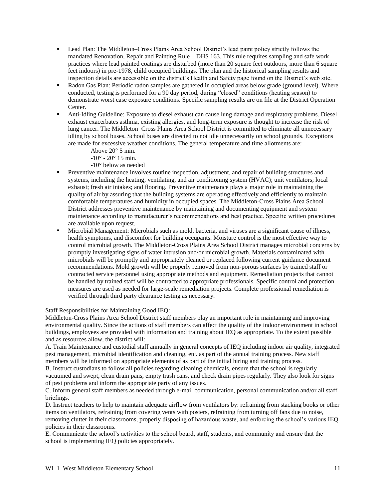- Lead Plan: The Middleton–Cross Plains Area School District's lead paint policy strictly follows the mandated Renovation, Repair and Painting Rule – DHS 163. This rule requires sampling and safe work practices where lead painted coatings are disturbed (more than 20 square feet outdoors, more than 6 square feet indoors) in pre-1978, child occupied buildings. The plan and the historical sampling results and inspection details are accessible on the district's Health and Safety page found on the District's web site.
- Radon Gas Plan: Periodic radon samples are gathered in occupied areas below grade (ground level). Where conducted, testing is performed for a 90 day period, during "closed" conditions (heating season) to demonstrate worst case exposure conditions. Specific sampling results are on file at the District Operation Center.
- Anti-Idling Guideline: Exposure to diesel exhaust can cause lung damage and respiratory problems. Diesel exhaust exacerbates asthma, existing allergies, and long-term exposure is thought to increase the risk of lung cancer. The Middleton–Cross Plains Area School District is committed to eliminate all unnecessary idling by school buses. School buses are directed to not idle unnecessarily on school grounds. Exceptions are made for excessive weather conditions. The general temperature and time allotments are:
	- Above 20° 5 min.
	- $-10^{\circ} 20^{\circ}$  15 min.
	- -10° below as needed
- Preventive maintenance involves routine inspection, adjustment, and repair of building structures and systems, including the heating, ventilating, and air conditioning system (HVAC); unit ventilators; local exhaust; fresh air intakes; and flooring. Preventive maintenance plays a major role in maintaining the quality of air by assuring that the building systems are operating effectively and efficiently to maintain comfortable temperatures and humidity in occupied spaces. The Middleton-Cross Plains Area School District addresses preventive maintenance by maintaining and documenting equipment and system maintenance according to manufacturer's recommendations and best practice. Specific written procedures are available upon request.
- Microbial Management: Microbials such as mold, bacteria, and viruses are a significant cause of illness, health symptoms, and discomfort for building occupants. Moisture control is the most effective way to control microbial growth. The Middleton-Cross Plains Area School District manages microbial concerns by promptly investigating signs of water intrusion and/or microbial growth. Materials contaminated with microbials will be promptly and appropriately cleaned or replaced following current guidance document recommendations. Mold growth will be properly removed from non-porous surfaces by trained staff or contracted service personnel using appropriate methods and equipment. Remediation projects that cannot be handled by trained staff will be contracted to appropriate professionals. Specific control and protection measures are used as needed for large-scale remediation projects. Complete professional remediation is verified through third party clearance testing as necessary.

Staff Responsibilities for Maintaining Good IEQ:

Middleton-Cross Plains Area School District staff members play an important role in maintaining and improving environmental quality. Since the actions of staff members can affect the quality of the indoor environment in school buildings, employees are provided with information and training about IEQ as appropriate. To the extent possible and as resources allow, the district will:

A. Train Maintenance and custodial staff annually in general concepts of IEQ including indoor air quality, integrated pest management, microbial identification and cleaning, etc. as part of the annual training process. New staff members will be informed on appropriate elements of as part of the initial hiring and training process.

B. Instruct custodians to follow all policies regarding cleaning chemicals, ensure that the school is regularly vacuumed and swept, clean drain pans, empty trash cans, and check drain pipes regularly. They also look for signs of pest problems and inform the appropriate party of any issues.

C. Inform general staff members as needed through e-mail communication, personal communication and/or all staff briefings.

D. Instruct teachers to help to maintain adequate airflow from ventilators by: refraining from stacking books or other items on ventilators, refraining from covering vents with posters, refraining from turning off fans due to noise, removing clutter in their classrooms, properly disposing of hazardous waste, and enforcing the school's various IEQ policies in their classrooms.

E. Communicate the school's activities to the school board, staff, students, and community and ensure that the school is implementing IEQ policies appropriately.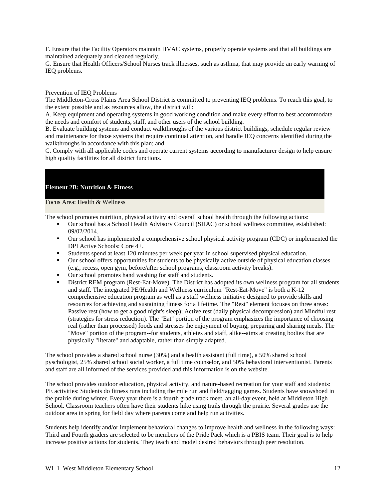F. Ensure that the Facility Operators maintain HVAC systems, properly operate systems and that all buildings are maintained adequately and cleaned regularly.

G. Ensure that Health Officers/School Nurses track illnesses, such as asthma, that may provide an early warning of IEQ problems.

#### Prevention of IEQ Problems

The Middleton-Cross Plains Area School District is committed to preventing IEQ problems. To reach this goal, to the extent possible and as resources allow, the district will:

A. Keep equipment and operating systems in good working condition and make every effort to best accommodate the needs and comfort of students, staff, and other users of the school building.

B. Evaluate building systems and conduct walkthroughs of the various district buildings, schedule regular review and maintenance for those systems that require continual attention, and handle IEQ concerns identified during the walkthroughs in accordance with this plan; and

C. Comply with all applicable codes and operate current systems according to manufacturer design to help ensure high quality facilities for all district functions.

# **Element 2B: Nutrition & Fitness**

### Focus Area: Health & Wellness

The school promotes nutrition, physical activity and overall school health through the following actions:

- Our school has a School Health Advisory Council (SHAC) or school wellness committee, established: 09/02/2014.
- Our school has implemented a comprehensive school physical activity program (CDC) or implemented the DPI Active Schools: Core 4+.
- Students spend at least 120 minutes per week per year in school supervised physical education.
- Our school offers opportunities for students to be physically active outside of physical education classes (e.g., recess, open gym, before/after school programs, classroom activity breaks).
- Our school promotes hand washing for staff and students.
- District REM program (Rest-Eat-Move). The District has adopted its own wellness program for all students and staff. The integrated PE/Health and Wellness curriculum "Rest-Eat-Move" is both a K-12 comprehensive education program as well as a staff wellness initiative designed to provide skills and resources for achieving and sustaining fitness for a lifetime. The "Rest" element focuses on three areas: Passive rest (how to get a good night's sleep); Active rest (daily physical decompression) and Mindful rest (strategies for stress reduction). The "Eat" portion of the program emphasizes the importance of choosing real (rather than processed) foods and stresses the enjoyment of buying, preparing and sharing meals. The "Move" portion of the program--for students, athletes and staff, alike--aims at creating bodies that are physically "literate" and adaptable, rather than simply adapted.

The school provides a shared school nurse (30%) and a health assistant (full time), a 50% shared school pyschologist, 25% shared school social worker, a full time counselor, and 50% behavioral interventionist. Parents and staff are all informed of the services provided and this information is on the website.

The school provides outdoor education, physical activity, and nature-based recreation for your staff and students: PE activities: Students do fitness runs including the mile run and field/tagging games. Students have snowshoed in the prairie during winter. Every year there is a fourth grade track meet, an all-day event, held at Middleton High School. Classroom teachers often have their students hike using trails through the prairie. Several grades use the outdoor area in spring for field day where parents come and help run activities.

Students help identify and/or implement behavioral changes to improve health and wellness in the following ways: Third and Fourth graders are selected to be members of the Pride Pack which is a PBIS team. Their goal is to help increase positive actions for students. They teach and model desired behaviors through peer resolution.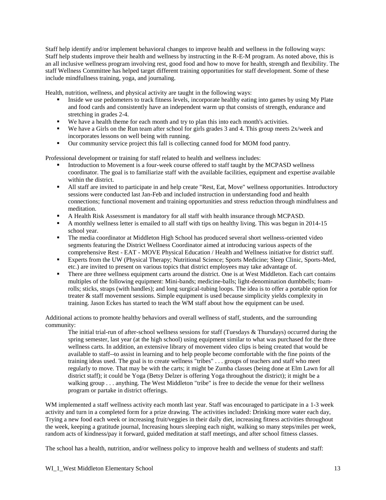Staff help identify and/or implement behavioral changes to improve health and wellness in the following ways: Staff help students improve their health and wellness by instructing in the R-E-M program. As noted above, this is an all inclusive wellness program involving rest, good food and how to move for health, strength and flexibility. The staff Wellness Committee has helped target different training opportunities for staff development. Some of these include mindfullness training, yoga, and journaling.

Health, nutrition, wellness, and physical activity are taught in the following ways:

- Inside we use pedometers to track fitness levels, incorporate healthy eating into games by using My Plate and food cards and consistently have an independent warm up that consists of strength, endurance and stretching in grades 2-4.
- We have a health theme for each month and try to plan this into each month's activities.
- We have a Girls on the Run team after school for girls grades 3 and 4. This group meets  $2x/week$  and incorporates lessons on well being with running.
- Our community service project this fall is collecting canned food for MOM food pantry.

Professional development or training for staff related to health and wellness includes:

- Introduction to Movement is a four-week course offered to staff taught by the MCPASD wellness coordinator. The goal is to familiarize staff with the available facilities, equipment and expertise available within the district.
- All staff are invited to participate in and help create "Rest, Eat, Move" wellness opportunities. Introductory sessions were conducted last Jan-Feb and included instruction in understanding food and health connections; functional movement and training opportunities and stress reduction through mindfulness and meditation.
- A Health Risk Assessment is mandatory for all staff with health insurance through MCPASD.
- A monthly wellness letter is emailed to all staff with tips on healthy living. This was begun in 2014-15 school year.
- The media coordinator at Middleton High School has produced several short wellness-oriented video segments featuring the District Wellness Coordinator aimed at introducing various aspects of the comprehensive Rest - EAT - MOVE Physical Education / Health and Wellness initiative for district staff.
- Experts from the UW (Physical Therapy; Nutritional Science; Sports Medicine; Sleep Clinic, Sports-Med, etc.) are invited to present on various topics that district employees may take advantage of.
- There are three wellness equipment carts around the district. One is at West Middleton. Each cart contains multiples of the following equipment: Mini-bands; medicine-balls; light-denomination dumbbells; foamrolls; sticks, straps (with handles); and long surgical-tubing loops. The idea is to offer a portable option for treater & staff movement sessions. Simple equipment is used because simplicity yields complexity in training. Jason Eckes has started to teach the WM staff about how the equipment can be used.

Additional actions to promote healthy behaviors and overall wellness of staff, students, and the surrounding community:

The initial trial-run of after-school wellness sessions for staff (Tuesdays & Thursdays) occurred during the spring semester, last year (at the high school) using equipment similar to what was purchased for the three wellness carts. In addition, an extensive library of movement video clips is being created that would be available to staff--to assist in learning and to help people become comfortable with the fine points of the training ideas used. The goal is to create wellness "tribes" . . . groups of teachers and staff who meet regularly to move. That may be with the carts; it might be Zumba classes (being done at Elm Lawn for all district staff); it could be Yoga (Betsy Delzer is offering Yoga throughout the district); it might be a walking group . . . anything. The West Middleton "tribe" is free to decide the venue for their wellness program or partake in district offerings.

WM implemented a staff wellness activity each month last year. Staff was encouraged to participate in a 1-3 week activity and turn in a completed form for a prize drawing. The activities included: Drinking more water each day, Trying a new food each week or increasing fruit/veggies in their daily diet, increasing fitness activities throughout the week, keeping a gratitude journal, Increasing hours sleeping each night, walking so many steps/miles per week, random acts of kindness/pay it forward, guided meditation at staff meetings, and after school fitness classes.

The school has a health, nutrition, and/or wellness policy to improve health and wellness of students and staff: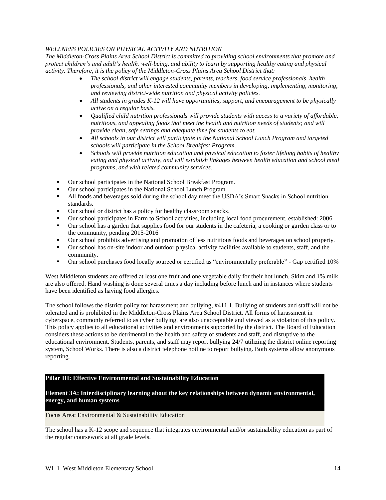# *WELLNESS POLICIES ON PHYSICAL ACTIVITY AND NUTRITION*

*The Middleton-Cross Plains Area School District is committed to providing school environments that promote and protect children's and adult's health, well-being, and ability to learn by supporting healthy eating and physical activity. Therefore, it is the policy of the Middleton-Cross Plains Area School District that:*

- *The school district will engage students, parents, teachers, food service professionals, health professionals, and other interested community members in developing, implementing, monitoring, and reviewing district-wide nutrition and physical activity policies.*
- *All students in grades K-12 will have opportunities, support, and encouragement to be physically active on a regular basis.*
- *Qualified child nutrition professionals will provide students with access to a variety of affordable, nutritious, and appealing foods that meet the health and nutrition needs of students; and will provide clean, safe settings and adequate time for students to eat.*
- *All schools in our district will participate in the National School Lunch Program and targeted schools will participate in the School Breakfast Program.*
- *Schools will provide nutrition education and physical education to foster lifelong habits of healthy eating and physical activity, and will establish linkages between health education and school meal programs, and with related community services.*
- Our school participates in the National School Breakfast Program.
- Our school participates in the National School Lunch Program.
- All foods and beverages sold during the school day meet the USDA's Smart Snacks in School nutrition standards.
- Our school or district has a policy for healthy classroom snacks.
- Our school participates in Farm to School activities, including local food procurement, established: 2006
- Our school has a garden that supplies food for our students in the cafeteria, a cooking or garden class or to the community, pending 2015-2016
- Our school prohibits advertising and promotion of less nutritious foods and beverages on school property.
- Our school has on-site indoor and outdoor physical activity facilities available to students, staff, and the community.
- Our school purchases food locally sourced or certified as "environmentally preferable" Gap certified 10%

West Middleton students are offered at least one fruit and one vegetable daily for their hot lunch. Skim and 1% milk are also offered. Hand washing is done several times a day including before lunch and in instances where students have been identified as having food allergies.

The school follows the district policy for harassment and bullying, #411.1. Bullying of students and staff will not be tolerated and is prohibited in the Middleton-Cross Plains Area School District. All forms of harassment in cyberspace, commonly referred to as cyber bullying, are also unacceptable and viewed as a violation of this policy. This policy applies to all educational activities and environments supported by the district. The Board of Education considers these actions to be detrimental to the health and safety of students and staff, and disruptive to the educational environment. Students, parents, and staff may report bullying 24/7 utilizing the district online reporting system, School Works. There is also a district telephone hotline to report bullying. Both systems allow anonymous reporting.

# **Pillar III: Effective Environmental and Sustainability Education**

**Element 3A: Interdisciplinary learning about the key relationships between dynamic environmental, energy, and human systems**

#### Focus Area: Environmental & Sustainability Education

The school has a K-12 scope and sequence that integrates environmental and/or sustainability education as part of the regular coursework at all grade levels.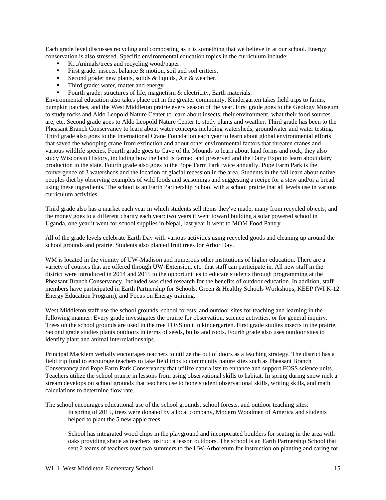Each grade level discusses recycling and composting as it is something that we believe in at our school. Energy conservation is also stressed. Specific environmental education topics in the curriculum include:

- K...Animals/trees and recycling wood/paper.
- First grade: insects, balance  $\&$  motion, soil and soil critters.
- Second grade: new plants, solids  $&$  liquids, Air  $&$  weather.
- Third grade: water, matter and energy.
- Fourth grade: structures of life, magnetism & electricity, Earth materials.

Environmental education also takes place out in the greater community. Kindergarten takes field trips to farms, pumpkin patches, and the West Middleton prairie every season of the year. First grade goes to the Geology Museum to study rocks and Aldo Leopold Nature Center to learn about insects, their environment, what their food sources are, etc. Second grade goes to Aldo Leopold Nature Center to study plants and weather. Third grade has been to the Pheasant Branch Conservancy to learn about water concepts including watersheds, groundwater and water testing. Third grade also goes to the International Crane Foundation each year to learn about global environmental efforts that saved the whooping crane from extinction and about other environmental factors that threaten cranes and various wildlife species. Fourth grade goes to Cave of the Mounds to learn about land forms and rock; they also study Wisconsin History, including how the land is farmed and preserved and the Dairy Expo to learn about dairy production in the state. Fourth grade also goes to the Pope Farm Park twice annually. Pope Farm Park is the convergence of 3 watersheds and the location of glacial recession in the area. Students in the fall learn about native peoples diet by observing examples of wild foods and seasonings and suggesting a recipe for a stew and/or a bread using these ingredients. The school is an Earth Partnership School with a school prairie that all levels use in various curriculum activities.

Third grade also has a market each year in which students sell items they've made, many from recycled objects, and the money goes to a different charity each year: two years it went toward building a solar powered school in Uganda, one year it went for school supplies in Nepal, last year it went to MOM Food Pantry.

All of the grade levels celebrate Earth Day with various activities using recycled goods and cleaning up around the school grounds and prairie. Students also planted fruit trees for Arbor Day.

WM is located in the vicinity of UW-Madison and numerous other institutions of higher education. There are a variety of courses that are offered through UW-Extension, etc. that staff can participate in. All new staff in the district were introduced in 2014 and 2015 to the opportunities to educate students through programming at the Pheasant Branch Conservancy. Included was cited research for the benefits of outdoor education. In addition, staff members have participated in Earth Partnership for Schools, Green & Healthy Schools Workshops, KEEP (WI K-12 Energy Education Program), and Focus on Energy training.

West Middleton staff use the school grounds, school forests, and outdoor sites for teaching and learning in the following manner: Every grade investigates the prairie for observation, science activities, or for general inquiry. Trees on the school grounds are used in the tree FOSS unit in kindergarten. First grade studies insects in the prairie. Second grade studies plants outdoors in terms of seeds, bulbs and roots. Fourth grade also uses outdoor sites to identify plant and animal interrelationships.

Principal Macklem verbally encourages teachers to utilize the out of doors as a teaching strategy. The district has a field trip fund to encourage teachers to take field trips to community nature sites such as Pheasant Branch Conservancy and Pope Farm Park Conservancy that utilize naturalists to enhance and support FOSS science units. Teachers utilize the school prairie in lessons from using observational skills to habitat. In spring during snow melt a stream develops on school grounds that teachers use to hone student observational skills, writing skills, and math calculations to determine flow rate.

The school encourages educational use of the school grounds, school forests, and outdoor teaching sites: In spring of 2015, trees were donated by a local company, Modern Woodmen of America and students helped to plant the 5 new apple trees.

School has integrated wood chips in the playground and incorporated boulders for seating in the area with oaks providing shade as teachers instruct a lesson outdoors. The school is an Earth Partnership School that sent 2 teams of teachers over two summers to the UW-Arboretum for instruction on planting and caring for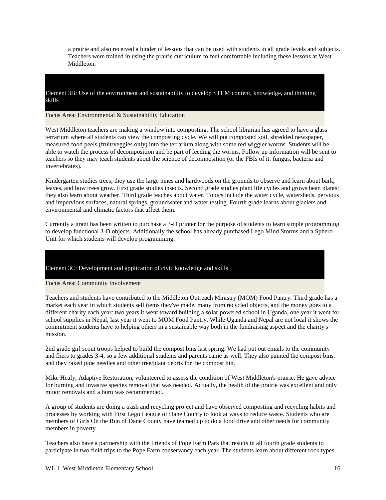a prairie and also received a binder of lessons that can be used with students in all grade levels and subjects. Teachers were trained in using the prairie curriculum to feel comfortable including these lessons at West Middleton.

Element 3B: Use of the environment and sustainability to develop STEM content, knowledge, and thinking skills

### Focus Area: Environmental & Sustainability Education

West Middleton teachers are making a window into composting. The school librarian has agreed to have a glass terrarium where all students can view the composting cycle. We will put composted soil, shredded newspaper, measured food peels (fruit/veggies only) into the terrarium along with some red wiggler worms. Students will be able to watch the process of decomposition and be part of feeding the worms. Follow up information will be sent to teachers so they may teach students about the science of decomposition (or the FBIs of it: fungus, bacteria and invertebrates).

Kindergarten studies trees; they use the large pines and hardwoods on the grounds to observe and learn about bark, leaves, and how trees grow. First grade studies insects. Second grade studies plant life cycles and grows bean plants; they also learn about weather. Third grade teaches about water. Topics include the water cycle, watersheds, pervious and impervious surfaces, natural springs, groundwater and water testing. Fourth grade learns about glaciers and environmental and climatic factors that affect them.

Currently a grant has been written to purchase a 3-D printer for the purpose of students to learn simple programming to develop functional 3-D objects. Additionally the school has already purchased Lego Mind Storms and a Sphero Unit for which students will develop programming.

# Element 3C: Development and application of civic knowledge and skills

#### Focus Area: Community Involvement

Teachers and students have contributed to the Middleton Outreach Ministry (MOM) Food Pantry. Third grade has a market each year in which students sell items they've made, many from recycled objects, and the money goes to a different charity each year: two years it went toward building a solar powered school in Uganda, one year it went for school supplies in Nepal, last year it went to MOM Food Pantry. While Uganda and Nepal are not local it shows the commitment students have to helping others in a sustainable way both in the fundraising aspect and the charity's mission.

2nd grade girl scout troops helped to build the compost bins last spring. We had put out emails to the community and fliers to grades 3-4, so a few additional students and parents came as well. They also painted the compost bins, and they raked pine needles and other tree/plant debris for the compost bin.

Mike Healy, Adaptive Restoration, volunteered to assess the condition of West Middleton's prairie. He gave advice for burning and invasive species removal that was needed. Actually, the health of the prairie was excellent and only minor removals and a burn was recommended.

A group of students are doing a trash and recycling project and have observed composting and recycling habits and processes by working with First Lego League of Dane County to look at ways to reduce waste. Students who are members of Girls On the Run of Dane County have teamed up to do a food drive and other needs for community members in poverty.

Teachers also have a partnership with the Friends of Pope Farm Park that results in all fourth grade students to participate in two field trips to the Pope Farm conservancy each year. The students learn about different rock types.